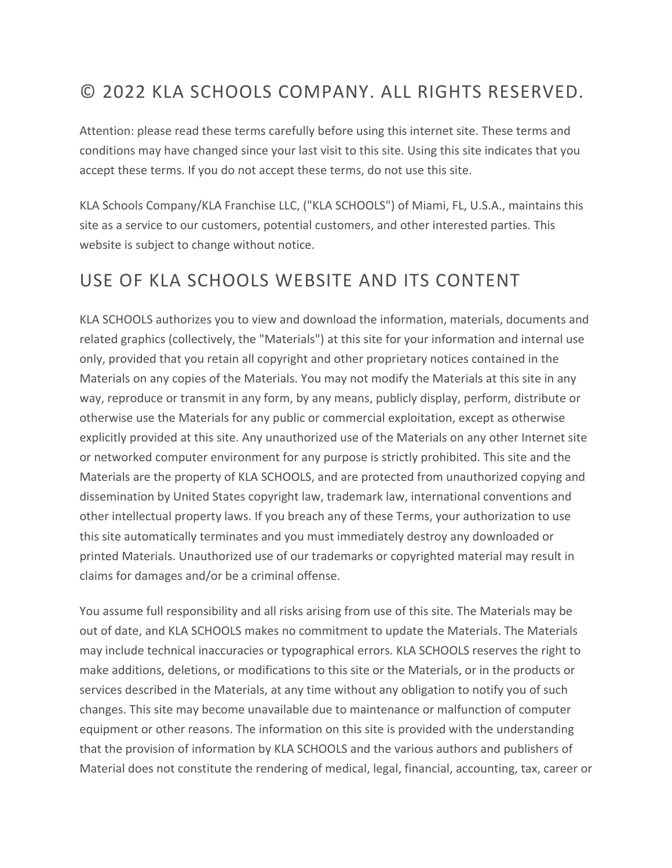### © 2022 KLA SCHOOLS COMPANY. ALL RIGHTS RESERVED.

Attention: please read these terms carefully before using this internet site. These terms and conditions may have changed since your last visit to this site. Using this site indicates that you accept these terms. If you do not accept these terms, do not use this site.

KLA Schools Company/KLA Franchise LLC, ("KLA SCHOOLS") of Miami, FL, U.S.A., maintains this site as a service to our customers, potential customers, and other interested parties. This website is subject to change without notice.

#### USE OF KLA SCHOOLS WEBSITE AND ITS CONTENT

KLA SCHOOLS authorizes you to view and download the information, materials, documents and related graphics (collectively, the "Materials") at this site for your information and internal use only, provided that you retain all copyright and other proprietary notices contained in the Materials on any copies of the Materials. You may not modify the Materials at this site in any way, reproduce or transmit in any form, by any means, publicly display, perform, distribute or otherwise use the Materials for any public or commercial exploitation, except as otherwise explicitly provided at this site. Any unauthorized use of the Materials on any other Internet site or networked computer environment for any purpose is strictly prohibited. This site and the Materials are the property of KLA SCHOOLS, and are protected from unauthorized copying and dissemination by United States copyright law, trademark law, international conventions and other intellectual property laws. If you breach any of these Terms, your authorization to use this site automatically terminates and you must immediately destroy any downloaded or printed Materials. Unauthorized use of our trademarks or copyrighted material may result in claims for damages and/or be a criminal offense.

You assume full responsibility and all risks arising from use of this site. The Materials may be out of date, and KLA SCHOOLS makes no commitment to update the Materials. The Materials may include technical inaccuracies or typographical errors. KLA SCHOOLS reserves the right to make additions, deletions, or modifications to this site or the Materials, or in the products or services described in the Materials, at any time without any obligation to notify you of such changes. This site may become unavailable due to maintenance or malfunction of computer equipment or other reasons. The information on this site is provided with the understanding that the provision of information by KLA SCHOOLS and the various authors and publishers of Material does not constitute the rendering of medical, legal, financial, accounting, tax, career or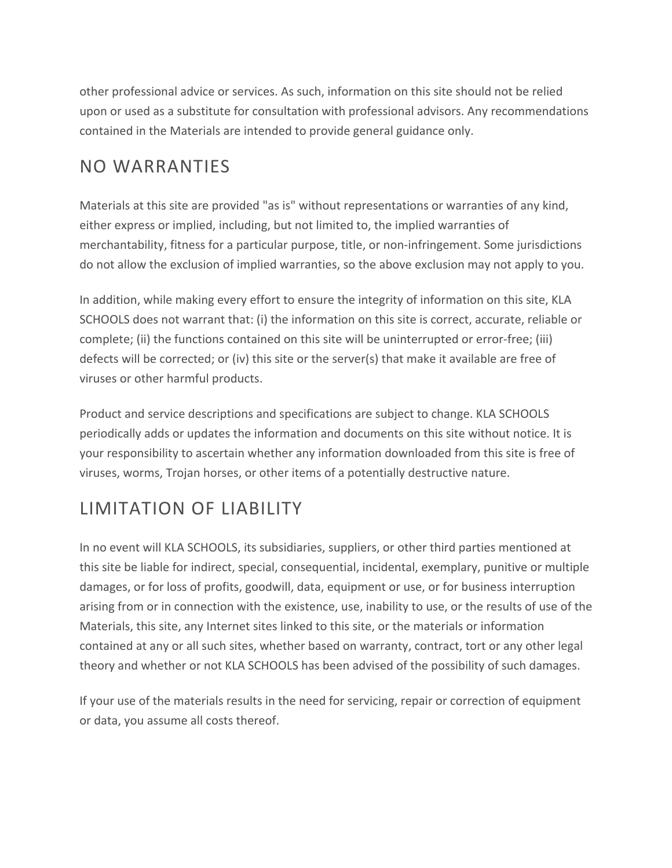other professional advice or services. As such, information on this site should not be relied upon or used as a substitute for consultation with professional advisors. Any recommendations contained in the Materials are intended to provide general guidance only.

### NO WARRANTIES

Materials at this site are provided "as is" without representations or warranties of any kind, either express or implied, including, but not limited to, the implied warranties of merchantability, fitness for a particular purpose, title, or non-infringement. Some jurisdictions do not allow the exclusion of implied warranties, so the above exclusion may not apply to you.

In addition, while making every effort to ensure the integrity of information on this site, KLA SCHOOLS does not warrant that: (i) the information on this site is correct, accurate, reliable or complete; (ii) the functions contained on this site will be uninterrupted or error-free; (iii) defects will be corrected; or (iv) this site or the server(s) that make it available are free of viruses or other harmful products.

Product and service descriptions and specifications are subject to change. KLA SCHOOLS periodically adds or updates the information and documents on this site without notice. It is your responsibility to ascertain whether any information downloaded from this site is free of viruses, worms, Trojan horses, or other items of a potentially destructive nature.

### LIMITATION OF LIABILITY

In no event will KLA SCHOOLS, its subsidiaries, suppliers, or other third parties mentioned at this site be liable for indirect, special, consequential, incidental, exemplary, punitive or multiple damages, or for loss of profits, goodwill, data, equipment or use, or for business interruption arising from or in connection with the existence, use, inability to use, or the results of use of the Materials, this site, any Internet sites linked to this site, or the materials or information contained at any or all such sites, whether based on warranty, contract, tort or any other legal theory and whether or not KLA SCHOOLS has been advised of the possibility of such damages.

If your use of the materials results in the need for servicing, repair or correction of equipment or data, you assume all costs thereof.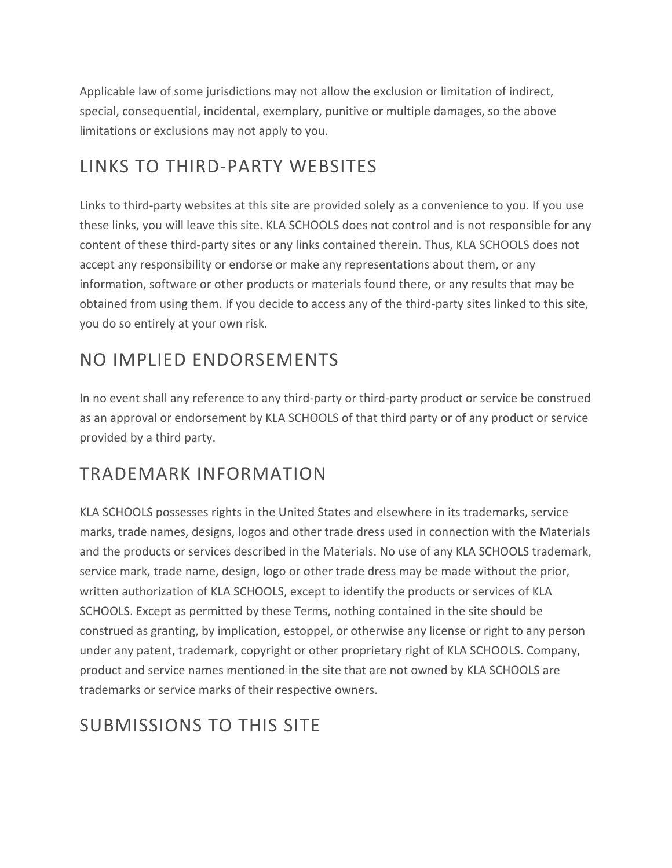Applicable law of some jurisdictions may not allow the exclusion or limitation of indirect, special, consequential, incidental, exemplary, punitive or multiple damages, so the above limitations or exclusions may not apply to you.

# LINKS TO THIRD-PARTY WEBSITES

Links to third-party websites at this site are provided solely as a convenience to you. If you use these links, you will leave this site. KLA SCHOOLS does not control and is not responsible for any content of these third-party sites or any links contained therein. Thus, KLA SCHOOLS does not accept any responsibility or endorse or make any representations about them, or any information, software or other products or materials found there, or any results that may be obtained from using them. If you decide to access any of the third-party sites linked to this site, you do so entirely at your own risk.

### NO IMPLIED ENDORSEMENTS

In no event shall any reference to any third-party or third-party product or service be construed as an approval or endorsement by KLA SCHOOLS of that third party or of any product or service provided by a third party.

### TRADEMARK INFORMATION

KLA SCHOOLS possesses rights in the United States and elsewhere in its trademarks, service marks, trade names, designs, logos and other trade dress used in connection with the Materials and the products or services described in the Materials. No use of any KLA SCHOOLS trademark, service mark, trade name, design, logo or other trade dress may be made without the prior, written authorization of KLA SCHOOLS, except to identify the products or services of KLA SCHOOLS. Except as permitted by these Terms, nothing contained in the site should be construed as granting, by implication, estoppel, or otherwise any license or right to any person under any patent, trademark, copyright or other proprietary right of KLA SCHOOLS. Company, product and service names mentioned in the site that are not owned by KLA SCHOOLS are trademarks or service marks of their respective owners.

### SUBMISSIONS TO THIS SITE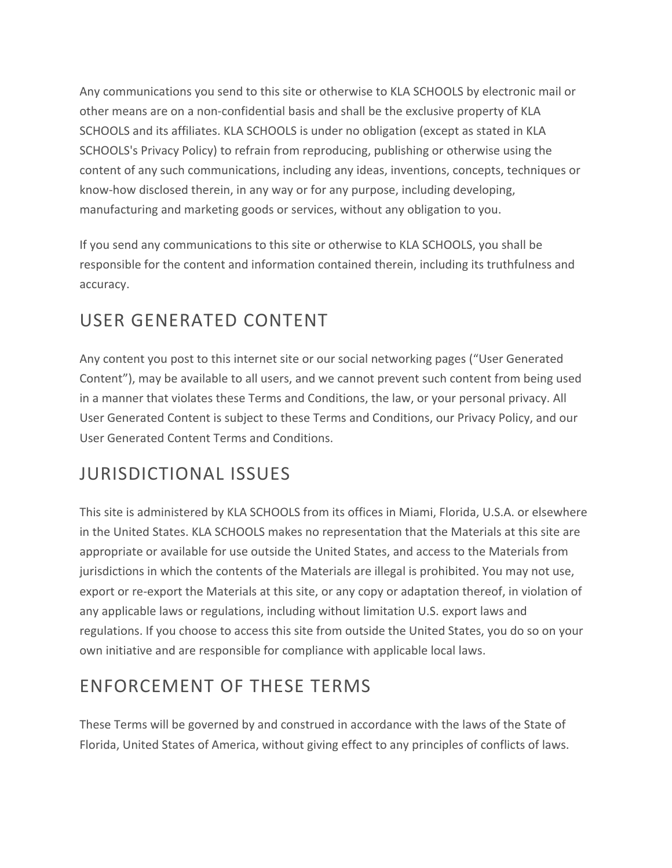Any communications you send to this site or otherwise to KLA SCHOOLS by electronic mail or other means are on a non-confidential basis and shall be the exclusive property of KLA SCHOOLS and its affiliates. KLA SCHOOLS is under no obligation (except as stated in KLA SCHOOLS's Privacy Policy) to refrain from reproducing, publishing or otherwise using the content of any such communications, including any ideas, inventions, concepts, techniques or know-how disclosed therein, in any way or for any purpose, including developing, manufacturing and marketing goods or services, without any obligation to you.

If you send any communications to this site or otherwise to KLA SCHOOLS, you shall be responsible for the content and information contained therein, including its truthfulness and accuracy.

# USER GENERATED CONTENT

Any content you post to this internet site or our social networking pages ("User Generated Content"), may be available to all users, and we cannot prevent such content from being used in a manner that violates these Terms and Conditions, the law, or your personal privacy. All User Generated Content is subject to these Terms and Conditions, our Privacy Policy, and our User Generated Content Terms and Conditions.

### JURISDICTIONAL ISSUES

This site is administered by KLA SCHOOLS from its offices in Miami, Florida, U.S.A. or elsewhere in the United States. KLA SCHOOLS makes no representation that the Materials at this site are appropriate or available for use outside the United States, and access to the Materials from jurisdictions in which the contents of the Materials are illegal is prohibited. You may not use, export or re-export the Materials at this site, or any copy or adaptation thereof, in violation of any applicable laws or regulations, including without limitation U.S. export laws and regulations. If you choose to access this site from outside the United States, you do so on your own initiative and are responsible for compliance with applicable local laws.

# ENFORCEMENT OF THESE TERMS

These Terms will be governed by and construed in accordance with the laws of the State of Florida, United States of America, without giving effect to any principles of conflicts of laws.